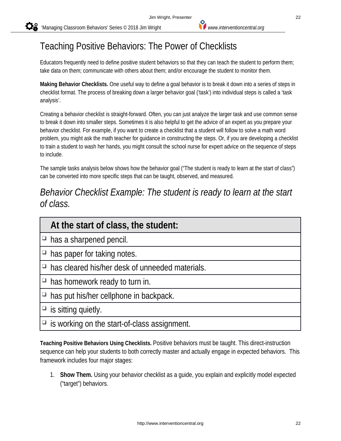## Teaching Positive Behaviors: The Power of Checklists

Educators frequently need to define positive student behaviors so that they can teach the student to perform them; take data on them; communicate with others about them; and/or encourage the student to monitor them.

**Making Behavior Checklists.** One useful way to define a goal behavior is to break it down into a series of steps in checklist format. The process of breaking down a larger behavior goal ('task') into individual steps is called a 'task analysis'.

Creating a behavior checklist is straight-forward. Often, you can just analyze the larger task and use common sense to break it down into smaller steps. Sometimes it is also helpful to get the advice of an expert as you prepare your behavior checklist. For example, if you want to create a checklist that a student will follow to solve a math word problem, you might ask the math teacher for guidance in constructing the steps. Or, if you are developing a checklist to train a student to wash her hands, you might consult the school nurse for expert advice on the sequence of steps to include.

The sample tasks analysis below shows how the behavior goal ("The student is ready to learn at the start of class") can be converted into more specific steps that can be taught, observed, and measured.

## *Behavior Checklist Example: The student is ready to learn at the start of class.*

| At the start of class, the student:                    |
|--------------------------------------------------------|
| $\Box$ has a sharpened pencil.                         |
| $\Box$ has paper for taking notes.                     |
| $\Box$ has cleared his/her desk of unneeded materials. |
| $\Box$ has homework ready to turn in.                  |
| $\Box$ has put his/her cellphone in backpack.          |
| $\Box$ is sitting quietly.                             |
|                                                        |

 $□$  is working on the start-of-class assignment.

**Teaching Positive Behaviors Using Checklists.** Positive behaviors must be taught. This direct-instruction sequence can help your students to both correctly master and actually engage in expected behaviors. This framework includes four major stages:

1. **Show Them.** Using your behavior checklist as a guide, you explain and explicitly model expected ("target") behaviors.